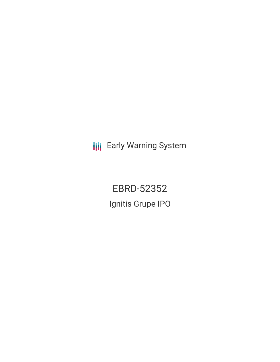**III** Early Warning System

EBRD-52352 Ignitis Grupe IPO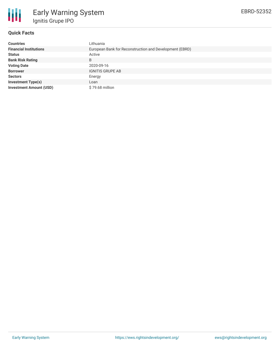

## **Quick Facts**

| <b>Countries</b>               | Lithuania                                               |
|--------------------------------|---------------------------------------------------------|
| <b>Financial Institutions</b>  | European Bank for Reconstruction and Development (EBRD) |
| <b>Status</b>                  | Active                                                  |
| <b>Bank Risk Rating</b>        | B                                                       |
| <b>Voting Date</b>             | 2020-09-16                                              |
| <b>Borrower</b>                | <b>IGNITIS GRUPE AB</b>                                 |
| <b>Sectors</b>                 | Energy                                                  |
| <b>Investment Type(s)</b>      | Loan                                                    |
| <b>Investment Amount (USD)</b> | \$79.68 million                                         |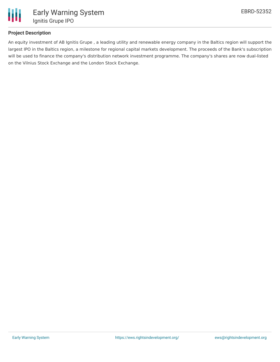

# **Project Description**

An equity investment of AB Ignitis Grupe , a leading utility and renewable energy company in the Baltics region will support the largest IPO in the Baltics region, a milestone for regional capital markets development. The proceeds of the Bank's subscription will be used to finance the company's distribution network investment programme. The company's shares are now dual-listed on the Vilnius Stock Exchange and the London Stock Exchange.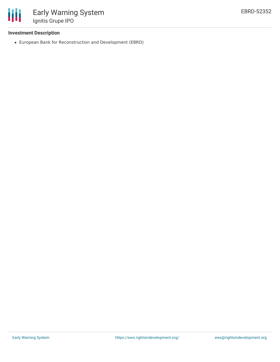

#### **Investment Description**

European Bank for Reconstruction and Development (EBRD)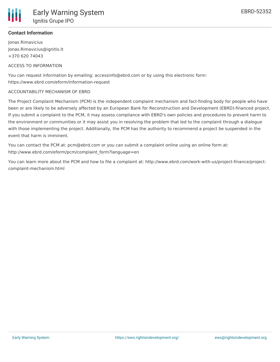## **Contact Information**

Jonas Rimavicius Jonas.Rimavicius@ignitis.lt +370 620 74043

# ACCESS TO INFORMATION

You can request information by emailing: accessinfo@ebrd.com or by using this electronic form: https://www.ebrd.com/eform/information-request

#### ACCOUNTABILITY MECHANISM OF EBRD

The Project Complaint Mechanism (PCM) is the independent complaint mechanism and fact-finding body for people who have been or are likely to be adversely affected by an European Bank for Reconstruction and Development (EBRD)-financed project. If you submit a complaint to the PCM, it may assess compliance with EBRD's own policies and procedures to prevent harm to the environment or communities or it may assist you in resolving the problem that led to the complaint through a dialogue with those implementing the project. Additionally, the PCM has the authority to recommend a project be suspended in the event that harm is imminent.

You can contact the PCM at: pcm@ebrd.com or you can submit a complaint online using an online form at: http://www.ebrd.com/eform/pcm/complaint\_form?language=en

You can learn more about the PCM and how to file a complaint at: http://www.ebrd.com/work-with-us/project-finance/projectcomplaint-mechanism.html